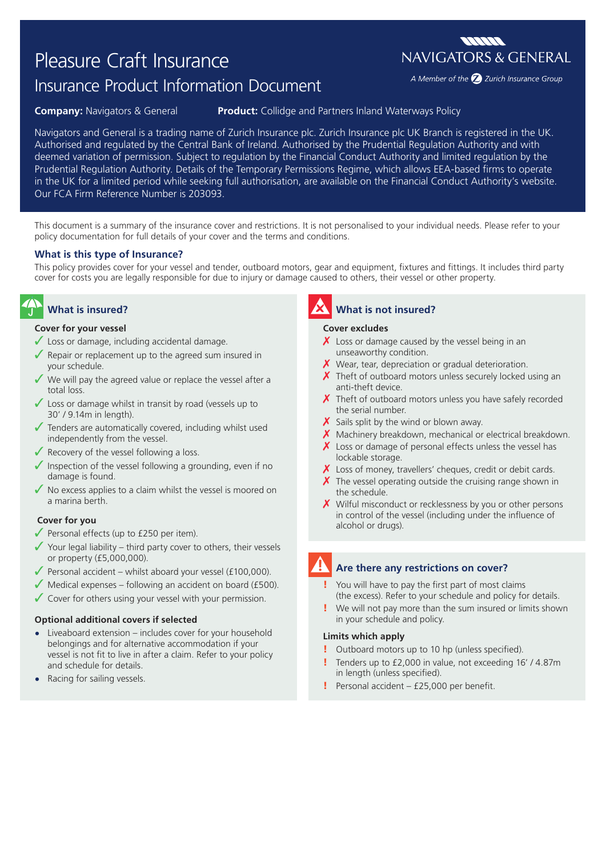# Pleasure Craft Insurance

# Insurance Product Information Document

### **Company:** Navigators & General **Product:** Collidge and Partners Inland Waterways Policy

Navigators and General is a trading name of Zurich Insurance plc. Zurich Insurance plc UK Branch is registered in the UK. Authorised and regulated by the Central Bank of Ireland. Authorised by the Prudential Regulation Authority and with deemed variation of permission. Subject to regulation by the Financial Conduct Authority and limited regulation by the Prudential Regulation Authority. Details of the Temporary Permissions Regime, which allows EEA-based firms to operate in the UK for a limited period while seeking full authorisation, are available on the Financial Conduct Authority's website. Our FCA Firm Reference Number is 203093.

This document is a summary of the insurance cover and restrictions. It is not personalised to your individual needs. Please refer to your policy documentation for full details of your cover and the terms and conditions.

### **What is this type of Insurance?**

This policy provides cover for your vessel and tender, outboard motors, gear and equipment, fixtures and fittings. It includes third party cover for costs you are legally responsible for due to injury or damage caused to others, their vessel or other property.

## **What is insured?**

### **Cover for your vessel**

- $\checkmark$  Loss or damage, including accidental damage.
- Repair or replacement up to the agreed sum insured in your schedule.
- ◆ We will pay the agreed value or replace the vessel after a total loss.
- $\sqrt{\ }$  Loss or damage whilst in transit by road (vessels up to 30' / 9.14m in length).
- $\sqrt{\ }$  Tenders are automatically covered, including whilst used independently from the vessel.
- $\sqrt{\ }$  Recovery of the vessel following a loss.
- $\sqrt{\ }$  Inspection of the vessel following a grounding, even if no damage is found.
- $\sqrt{\ }$  No excess applies to a claim whilst the vessel is moored on a marina berth.

### **Cover for you**

- $\sqrt{\ }$  Personal effects (up to £250 per item).
- $\checkmark$  Your legal liability third party cover to others, their vessels or property (£5,000,000).
- $\sqrt{\frac{P^2}{2}}$  Personal accident whilst aboard your vessel (£100,000).
- $\sqrt{\frac{1}{100}}$  Medical expenses following an accident on board (£500).
- $\checkmark$  Cover for others using your vessel with your permission.

### **Optional additional covers if selected**

- **•** Liveaboard extension includes cover for your household belongings and for alternative accommodation if your vessel is not fit to live in after a claim. Refer to your policy and schedule for details.
- **•** Racing for sailing vessels.

## **What is not insured?**

### **Cover excludes**

- $\chi$  Loss or damage caused by the vessel being in an unseaworthy condition.
- $\chi$  Wear, tear, depreciation or gradual deterioration.
- $\chi$  Theft of outboard motors unless securely locked using an anti-theft device.
- $\chi$  Theft of outboard motors unless you have safely recorded the serial number.
- $\boldsymbol{\times}$  Sails split by the wind or blown away.
- X Machinery breakdown, mechanical or electrical breakdown.
- Loss or damage of personal effects unless the vessel has lockable storage.
- $\chi$  Loss of money, travellers' cheques, credit or debit cards.
- $\chi$  The vessel operating outside the cruising range shown in the schedule.
- $\chi$  Wilful misconduct or recklessness by you or other persons in control of the vessel (including under the influence of alcohol or drugs).

### **Are there any restrictions on cover?**

- You will have to pay the first part of most claims (the excess). Refer to your schedule and policy for details.
- We will not pay more than the sum insured or limits shown in your schedule and policy.

### **Limits which apply**

- Outboard motors up to 10 hp (unless specified).
- Tenders up to £2,000 in value, not exceeding 16' / 4.87m in length (unless specified).
- ! Personal accident £25,000 per benefit.

**MANA NAVIGATORS & GENERAL** 

A Member of the 2 Zurich Insurance Group